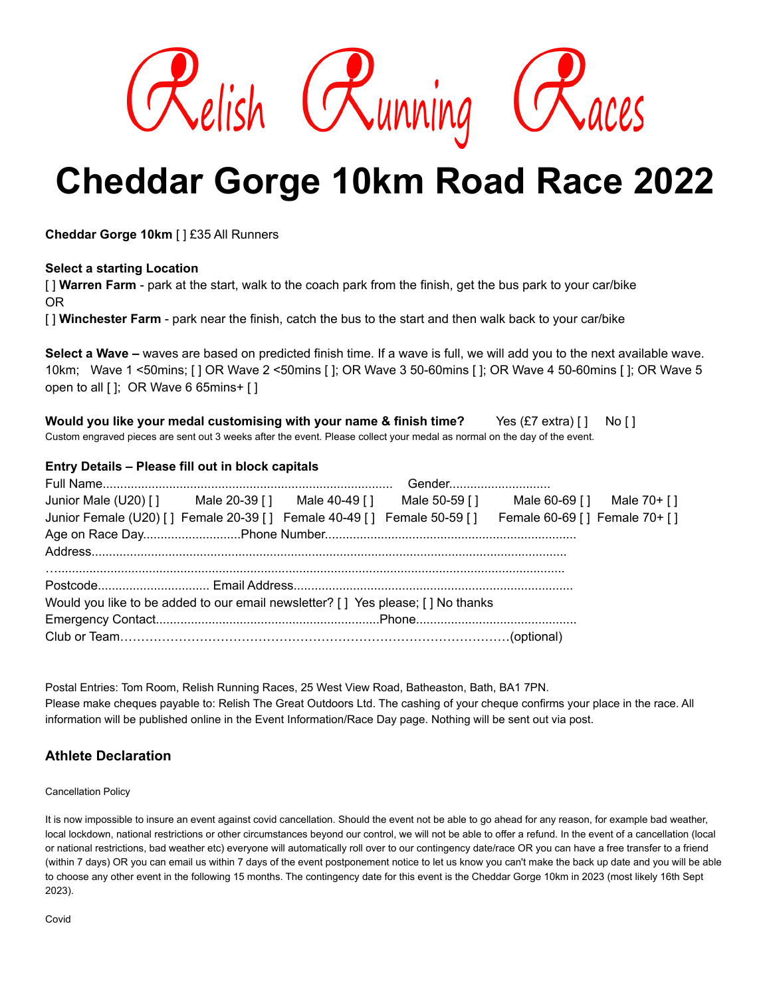

# **Cheddar Gorge 10km Road Race 2022**

**Cheddar Gorge 10km** [ ] £35 All Runners

### **Select a starting Location**

[ ] **Warren Farm** - park at the start, walk to the coach park from the finish, get the bus park to your car/bike OR

[ ] **Winchester Farm** - park near the finish, catch the bus to the start and then walk back to your car/bike

**Select a Wave –** waves are based on predicted finish time. If a wave is full, we will add you to the next available wave. 10km; Wave 1 <50mins; [ ] OR Wave 2 <50mins [ ]; OR Wave 3 50-60mins [ ]; OR Wave 4 50-60mins [ ]; OR Wave 5 open to all [ ]; OR Wave 6 65mins+ [ ]

**Would you like your medal customising with your name & finish time?** Yes (£7 extra) [ ] No [ ] Custom engraved pieces are sent out 3 weeks after the event. Please collect your medal as normal on the day of the event.

### **Entry Details – Please fill out in block capitals**

| Junior Male (U20) [] Male 20-39 [] Male 40-49 [] Male 50-59 [] Male 60-69 [] Male 70+ []             |  |  |  |  |  |
|------------------------------------------------------------------------------------------------------|--|--|--|--|--|
| Junior Female (U20) [] Female 20-39 [] Female 40-49 [] Female 50-59 [] Female 60-69 [] Female 70+ [] |  |  |  |  |  |
|                                                                                                      |  |  |  |  |  |
|                                                                                                      |  |  |  |  |  |
|                                                                                                      |  |  |  |  |  |
| Would you like to be added to our email newsletter? [ ] Yes please; [ ] No thanks                    |  |  |  |  |  |
|                                                                                                      |  |  |  |  |  |
|                                                                                                      |  |  |  |  |  |

Postal Entries: Tom Room, Relish Running Races, 25 West View Road, Batheaston, Bath, BA1 7PN. Please make cheques payable to: Relish The Great Outdoors Ltd. The cashing of your cheque confirms your place in the race. All information will be published online in the Event Information/Race Day page. Nothing will be sent out via post.

## **Athlete Declaration**

Cancellation Policy

It is now impossible to insure an event against covid cancellation. Should the event not be able to go ahead for any reason, for example bad weather, local lockdown, national restrictions or other circumstances beyond our control, we will not be able to offer a refund. In the event of a cancellation (local or national restrictions, bad weather etc) everyone will automatically roll over to our contingency date/race OR you can have a free transfer to a friend (within 7 days) OR you can email us within 7 days of the event postponement notice to let us know you can't make the back up date and you will be able to choose any other event in the following 15 months. The contingency date for this event is the Cheddar Gorge 10km in 2023 (most likely 16th Sept 2023).